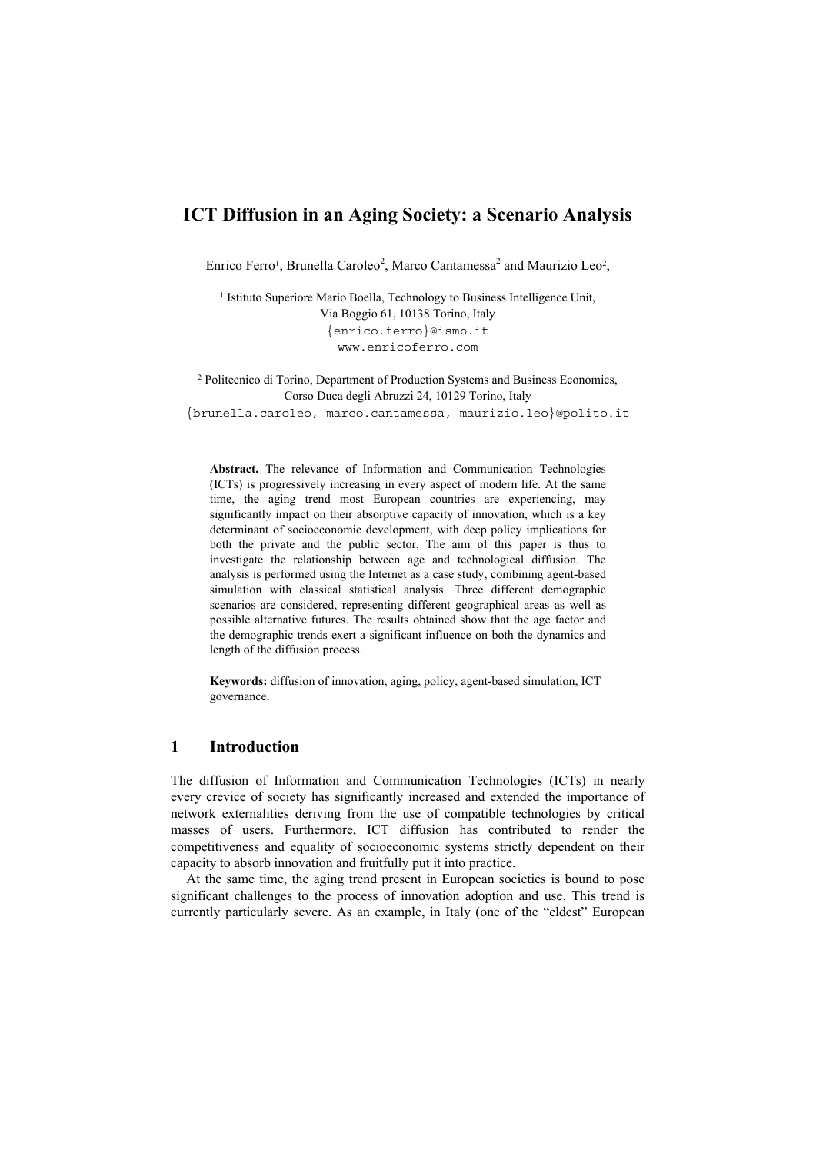# **ICT Diffusion in an Aging Society: a Scenario Analysis**

Enrico Ferro<sup>1</sup>, Brunella Caroleo<sup>2</sup>, Marco Cantamessa<sup>2</sup> and Maurizio Leo<sup>2</sup>,

<sup>1</sup> Istituto Superiore Mario Boella, Technology to Business Intelligence Unit, Via Boggio 61, 10138 Torino, Italy {enrico.ferro}@ismb.it www.enricoferro.com

2 Politecnico di Torino, Department of Production Systems and Business Economics, Corso Duca degli Abruzzi 24, 10129 Torino, Italy {brunella.caroleo, marco.cantamessa, maurizio.leo}@polito.it

**Abstract.** The relevance of Information and Communication Technologies (ICTs) is progressively increasing in every aspect of modern life. At the same time, the aging trend most European countries are experiencing, may significantly impact on their absorptive capacity of innovation, which is a key determinant of socioeconomic development, with deep policy implications for both the private and the public sector. The aim of this paper is thus to investigate the relationship between age and technological diffusion. The analysis is performed using the Internet as a case study, combining agent-based simulation with classical statistical analysis. Three different demographic scenarios are considered, representing different geographical areas as well as possible alternative futures. The results obtained show that the age factor and the demographic trends exert a significant influence on both the dynamics and length of the diffusion process.

**Keywords:** diffusion of innovation, aging, policy, agent-based simulation, ICT governance.

## **1 Introduction**

The diffusion of Information and Communication Technologies (ICTs) in nearly every crevice of society has significantly increased and extended the importance of network externalities deriving from the use of compatible technologies by critical masses of users. Furthermore, ICT diffusion has contributed to render the competitiveness and equality of socioeconomic systems strictly dependent on their capacity to absorb innovation and fruitfully put it into practice.

At the same time, the aging trend present in European societies is bound to pose significant challenges to the process of innovation adoption and use. This trend is currently particularly severe. As an example, in Italy (one of the "eldest" European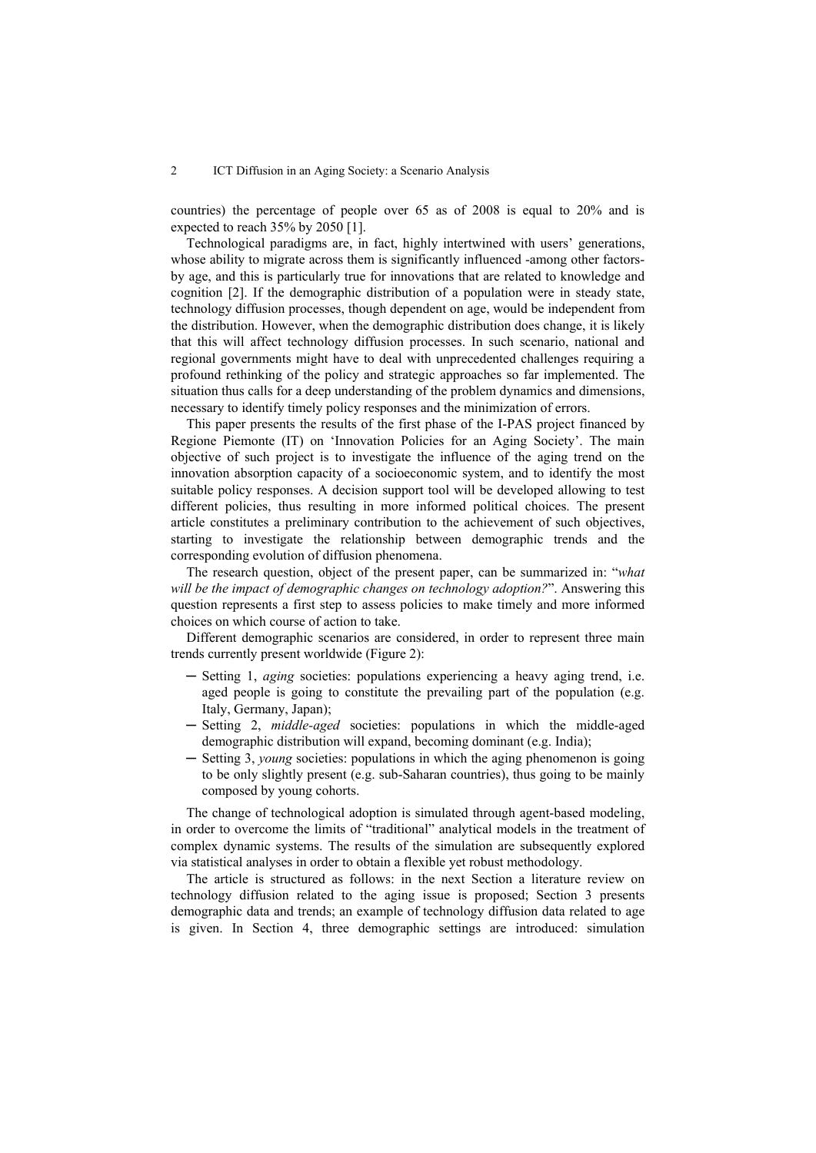countries) the percentage of people over 65 as of 2008 is equal to 20% and is expected to reach 35% by 2050 [1].

Technological paradigms are, in fact, highly intertwined with users' generations, whose ability to migrate across them is significantly influenced -among other factorsby age, and this is particularly true for innovations that are related to knowledge and cognition [2]. If the demographic distribution of a population were in steady state, technology diffusion processes, though dependent on age, would be independent from the distribution. However, when the demographic distribution does change, it is likely that this will affect technology diffusion processes. In such scenario, national and regional governments might have to deal with unprecedented challenges requiring a profound rethinking of the policy and strategic approaches so far implemented. The situation thus calls for a deep understanding of the problem dynamics and dimensions, necessary to identify timely policy responses and the minimization of errors.

This paper presents the results of the first phase of the I-PAS project financed by Regione Piemonte (IT) on 'Innovation Policies for an Aging Society'. The main objective of such project is to investigate the influence of the aging trend on the innovation absorption capacity of a socioeconomic system, and to identify the most suitable policy responses. A decision support tool will be developed allowing to test different policies, thus resulting in more informed political choices. The present article constitutes a preliminary contribution to the achievement of such objectives, starting to investigate the relationship between demographic trends and the corresponding evolution of diffusion phenomena.

The research question, object of the present paper, can be summarized in: "*what will be the impact of demographic changes on technology adoption?*". Answering this question represents a first step to assess policies to make timely and more informed choices on which course of action to take.

Different demographic scenarios are considered, in order to represent three main trends currently present worldwide (Figure 2):

- ─ Setting 1, *aging* societies: populations experiencing a heavy aging trend, i.e. aged people is going to constitute the prevailing part of the population (e.g. Italy, Germany, Japan);
- ─ Setting 2, *middle-aged* societies: populations in which the middle-aged demographic distribution will expand, becoming dominant (e.g. India);
- ─ Setting 3, *young* societies: populations in which the aging phenomenon is going to be only slightly present (e.g. sub-Saharan countries), thus going to be mainly composed by young cohorts.

The change of technological adoption is simulated through agent-based modeling, in order to overcome the limits of "traditional" analytical models in the treatment of complex dynamic systems. The results of the simulation are subsequently explored via statistical analyses in order to obtain a flexible yet robust methodology.

The article is structured as follows: in the next Section a literature review on technology diffusion related to the aging issue is proposed; Section 3 presents demographic data and trends; an example of technology diffusion data related to age is given. In Section 4, three demographic settings are introduced: simulation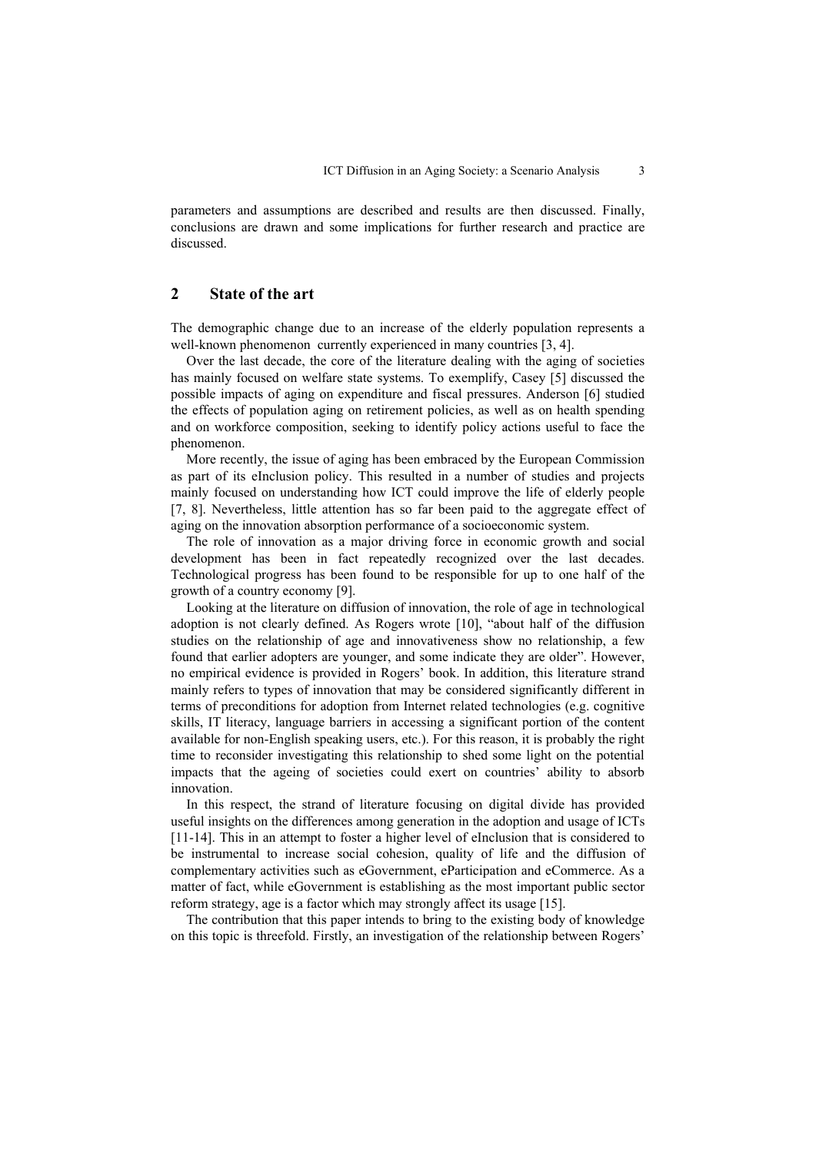parameters and assumptions are described and results are then discussed. Finally, conclusions are drawn and some implications for further research and practice are discussed.

## **2 State of the art**

The demographic change due to an increase of the elderly population represents a well-known phenomenon currently experienced in many countries [3, 4].

Over the last decade, the core of the literature dealing with the aging of societies has mainly focused on welfare state systems. To exemplify, Casey [5] discussed the possible impacts of aging on expenditure and fiscal pressures. Anderson [6] studied the effects of population aging on retirement policies, as well as on health spending and on workforce composition, seeking to identify policy actions useful to face the phenomenon.

More recently, the issue of aging has been embraced by the European Commission as part of its eInclusion policy. This resulted in a number of studies and projects mainly focused on understanding how ICT could improve the life of elderly people [7, 8]. Nevertheless, little attention has so far been paid to the aggregate effect of aging on the innovation absorption performance of a socioeconomic system.

The role of innovation as a major driving force in economic growth and social development has been in fact repeatedly recognized over the last decades. Technological progress has been found to be responsible for up to one half of the growth of a country economy [9].

Looking at the literature on diffusion of innovation, the role of age in technological adoption is not clearly defined. As Rogers wrote [10], "about half of the diffusion studies on the relationship of age and innovativeness show no relationship, a few found that earlier adopters are younger, and some indicate they are older". However, no empirical evidence is provided in Rogers' book. In addition, this literature strand mainly refers to types of innovation that may be considered significantly different in terms of preconditions for adoption from Internet related technologies (e.g. cognitive skills, IT literacy, language barriers in accessing a significant portion of the content available for non-English speaking users, etc.). For this reason, it is probably the right time to reconsider investigating this relationship to shed some light on the potential impacts that the ageing of societies could exert on countries' ability to absorb innovation.

In this respect, the strand of literature focusing on digital divide has provided useful insights on the differences among generation in the adoption and usage of ICTs [11-14]. This in an attempt to foster a higher level of eInclusion that is considered to be instrumental to increase social cohesion, quality of life and the diffusion of complementary activities such as eGovernment, eParticipation and eCommerce. As a matter of fact, while eGovernment is establishing as the most important public sector reform strategy, age is a factor which may strongly affect its usage [15].

The contribution that this paper intends to bring to the existing body of knowledge on this topic is threefold. Firstly, an investigation of the relationship between Rogers'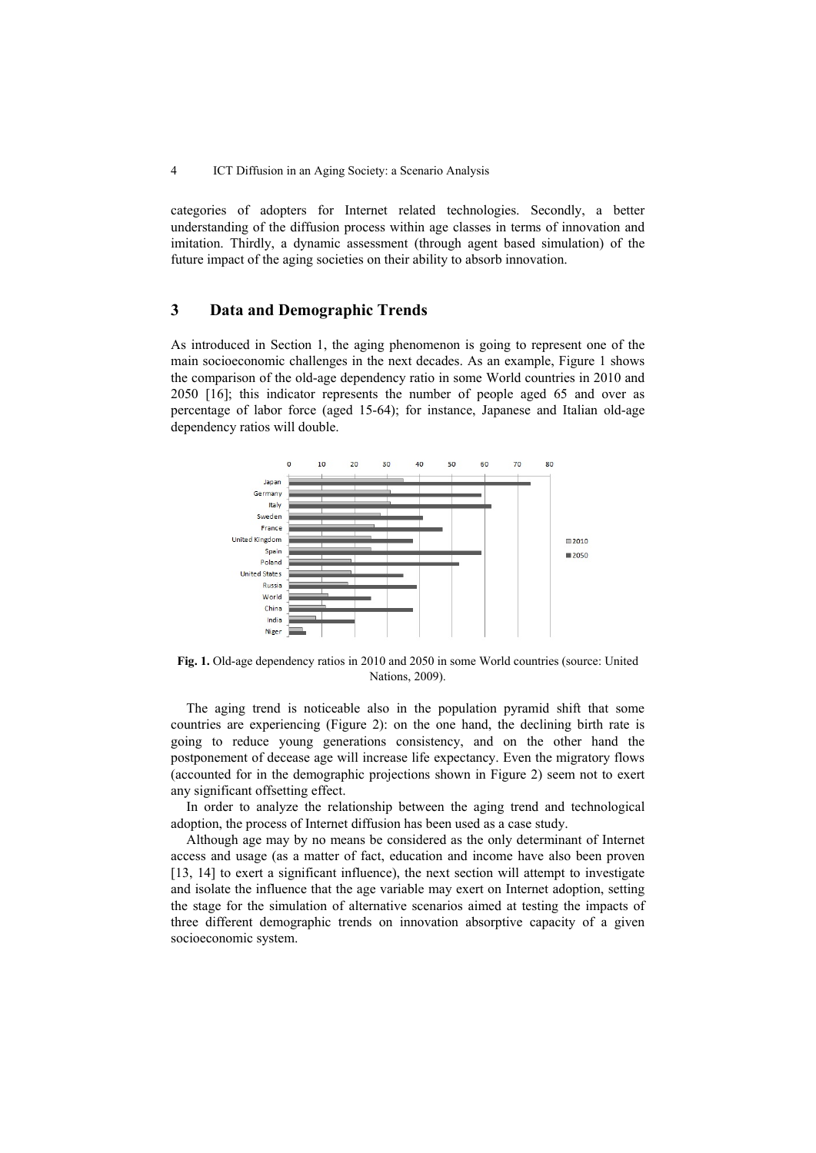categories of adopters for Internet related technologies. Secondly, a better understanding of the diffusion process within age classes in terms of innovation and imitation. Thirdly, a dynamic assessment (through agent based simulation) of the future impact of the aging societies on their ability to absorb innovation.

## **3 Data and Demographic Trends**

As introduced in Section 1, the aging phenomenon is going to represent one of the main socioeconomic challenges in the next decades. As an example, Figure 1 shows the comparison of the old-age dependency ratio in some World countries in 2010 and 2050 [16]; this indicator represents the number of people aged 65 and over as percentage of labor force (aged 15-64); for instance, Japanese and Italian old-age dependency ratios will double.



**Fig. 1.** Old-age dependency ratios in 2010 and 2050 in some World countries (source: United Nations, 2009).

The aging trend is noticeable also in the population pyramid shift that some countries are experiencing (Figure 2): on the one hand, the declining birth rate is going to reduce young generations consistency, and on the other hand the postponement of decease age will increase life expectancy. Even the migratory flows (accounted for in the demographic projections shown in Figure 2) seem not to exert any significant offsetting effect.

In order to analyze the relationship between the aging trend and technological adoption, the process of Internet diffusion has been used as a case study.

Although age may by no means be considered as the only determinant of Internet access and usage (as a matter of fact, education and income have also been proven [13, 14] to exert a significant influence), the next section will attempt to investigate and isolate the influence that the age variable may exert on Internet adoption, setting the stage for the simulation of alternative scenarios aimed at testing the impacts of three different demographic trends on innovation absorptive capacity of a given socioeconomic system.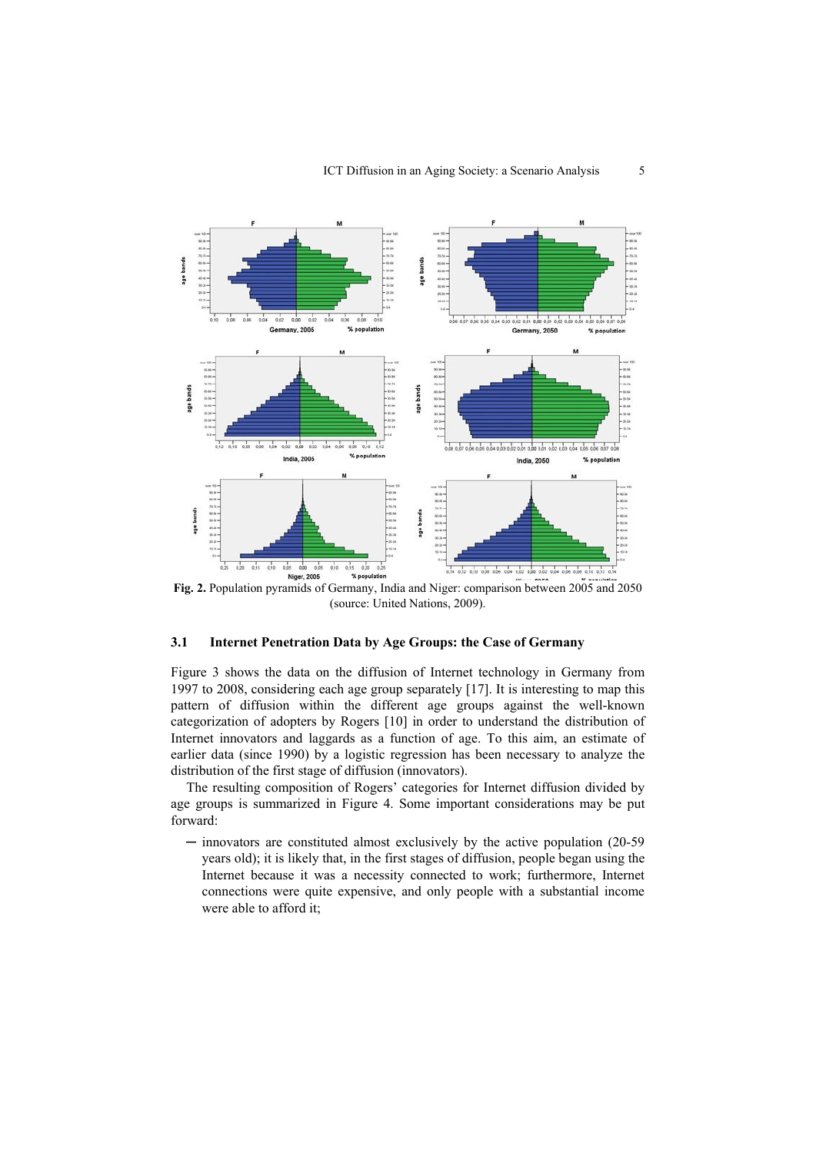

**Fig. 2.** Population pyramids of Germany, India and Niger: comparison between 2005 and 2050 (source: United Nations, 2009).

#### **3.1 Internet Penetration Data by Age Groups: the Case of Germany**

Figure 3 shows the data on the diffusion of Internet technology in Germany from 1997 to 2008, considering each age group separately [17]. It is interesting to map this pattern of diffusion within the different age groups against the well-known categorization of adopters by Rogers [10] in order to understand the distribution of Internet innovators and laggards as a function of age. To this aim, an estimate of earlier data (since 1990) by a logistic regression has been necessary to analyze the distribution of the first stage of diffusion (innovators).

The resulting composition of Rogers' categories for Internet diffusion divided by age groups is summarized in Figure 4. Some important considerations may be put forward:

─ innovators are constituted almost exclusively by the active population (20-59 years old); it is likely that, in the first stages of diffusion, people began using the Internet because it was a necessity connected to work; furthermore, Internet connections were quite expensive, and only people with a substantial income were able to afford it;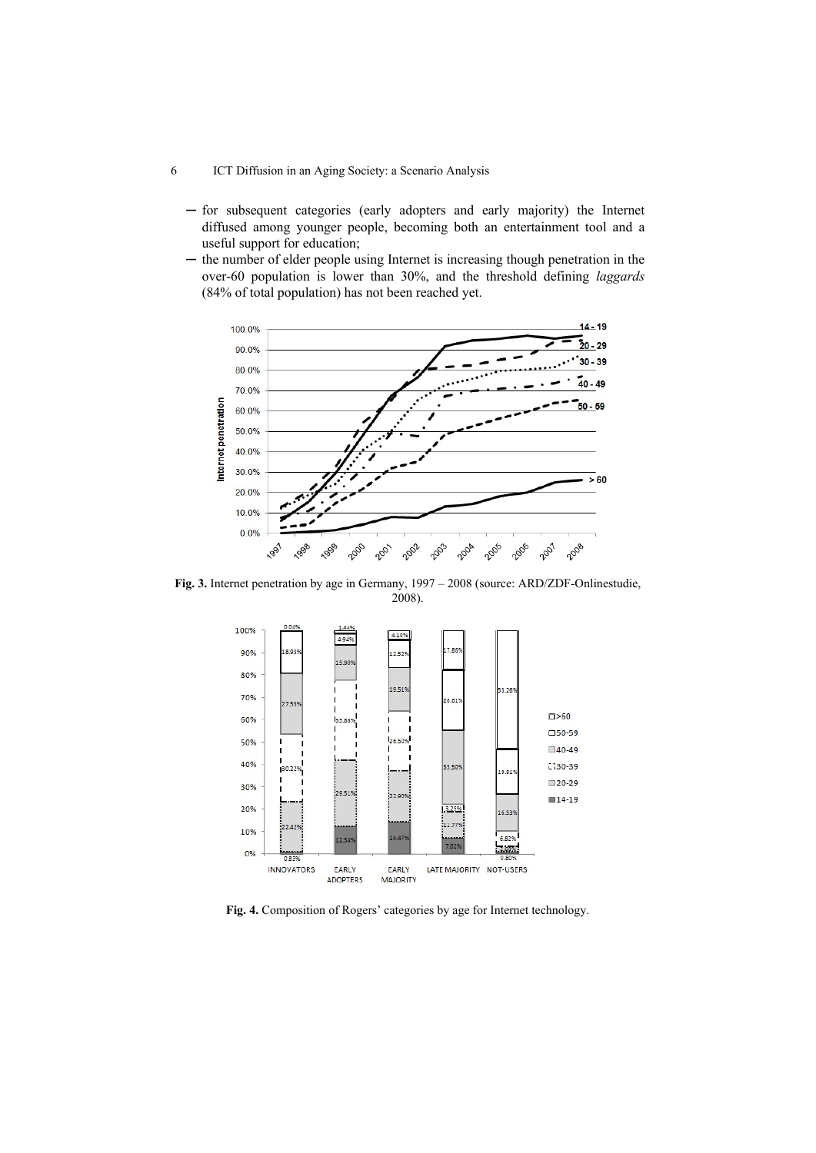#### 6 ICT Diffusion in an Aging Society: a Scenario Analysis

- ─ for subsequent categories (early adopters and early majority) the Internet diffused among younger people, becoming both an entertainment tool and a useful support for education;
- ─ the number of elder people using Internet is increasing though penetration in the over-60 population is lower than 30%, and the threshold defining *laggards* (84% of total population) has not been reached yet.



**Fig. 3.** Internet penetration by age in Germany, 1997 – 2008 (source: ARD/ZDF-Onlinestudie, 2008).



**Fig. 4.** Composition of Rogers' categories by age for Internet technology.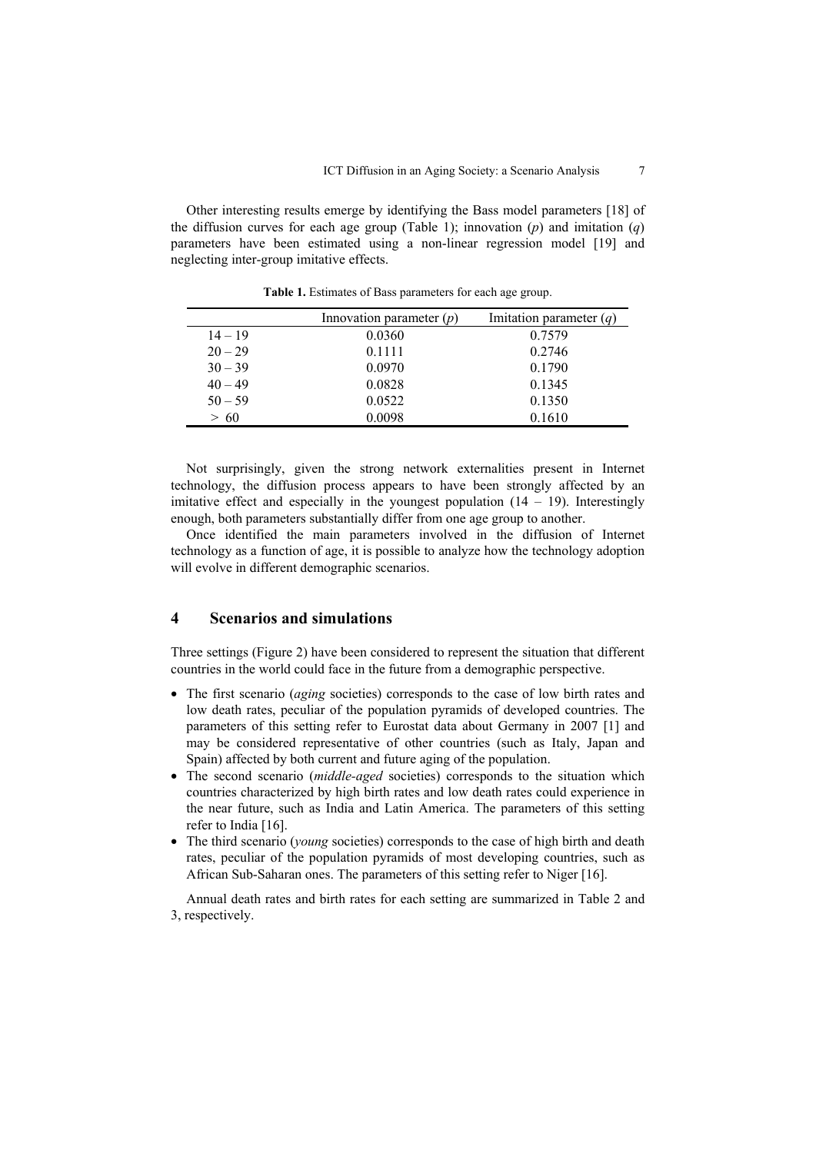Other interesting results emerge by identifying the Bass model parameters [18] of the diffusion curves for each age group (Table 1); innovation  $(p)$  and imitation  $(q)$ parameters have been estimated using a non-linear regression model [19] and neglecting inter-group imitative effects.

|           | Innovation parameter $(p)$ | Imitation parameter $(q)$ |  |
|-----------|----------------------------|---------------------------|--|
| $14 - 19$ | 0.0360                     | 0.7579                    |  |
| $20 - 29$ | 0.1111                     | 0.2746                    |  |
| $30 - 39$ | 0.0970                     | 0.1790                    |  |
| $40 - 49$ | 0.0828                     | 0.1345                    |  |
| $50 - 59$ | 0.0522                     | 0.1350                    |  |
| -60       | 0.0098                     | 0.1610                    |  |

**Table 1.** Estimates of Bass parameters for each age group.

Not surprisingly, given the strong network externalities present in Internet technology, the diffusion process appears to have been strongly affected by an imitative effect and especially in the youngest population  $(14 - 19)$ . Interestingly enough, both parameters substantially differ from one age group to another.

Once identified the main parameters involved in the diffusion of Internet technology as a function of age, it is possible to analyze how the technology adoption will evolve in different demographic scenarios.

#### **4 Scenarios and simulations**

Three settings (Figure 2) have been considered to represent the situation that different countries in the world could face in the future from a demographic perspective.

- The first scenario (*aging* societies) corresponds to the case of low birth rates and low death rates, peculiar of the population pyramids of developed countries. The parameters of this setting refer to Eurostat data about Germany in 2007 [1] and may be considered representative of other countries (such as Italy, Japan and Spain) affected by both current and future aging of the population.
- The second scenario (*middle-aged* societies) corresponds to the situation which countries characterized by high birth rates and low death rates could experience in the near future, such as India and Latin America. The parameters of this setting refer to India [16].
- The third scenario (*young* societies) corresponds to the case of high birth and death rates, peculiar of the population pyramids of most developing countries, such as African Sub-Saharan ones. The parameters of this setting refer to Niger [16].

Annual death rates and birth rates for each setting are summarized in Table 2 and 3, respectively.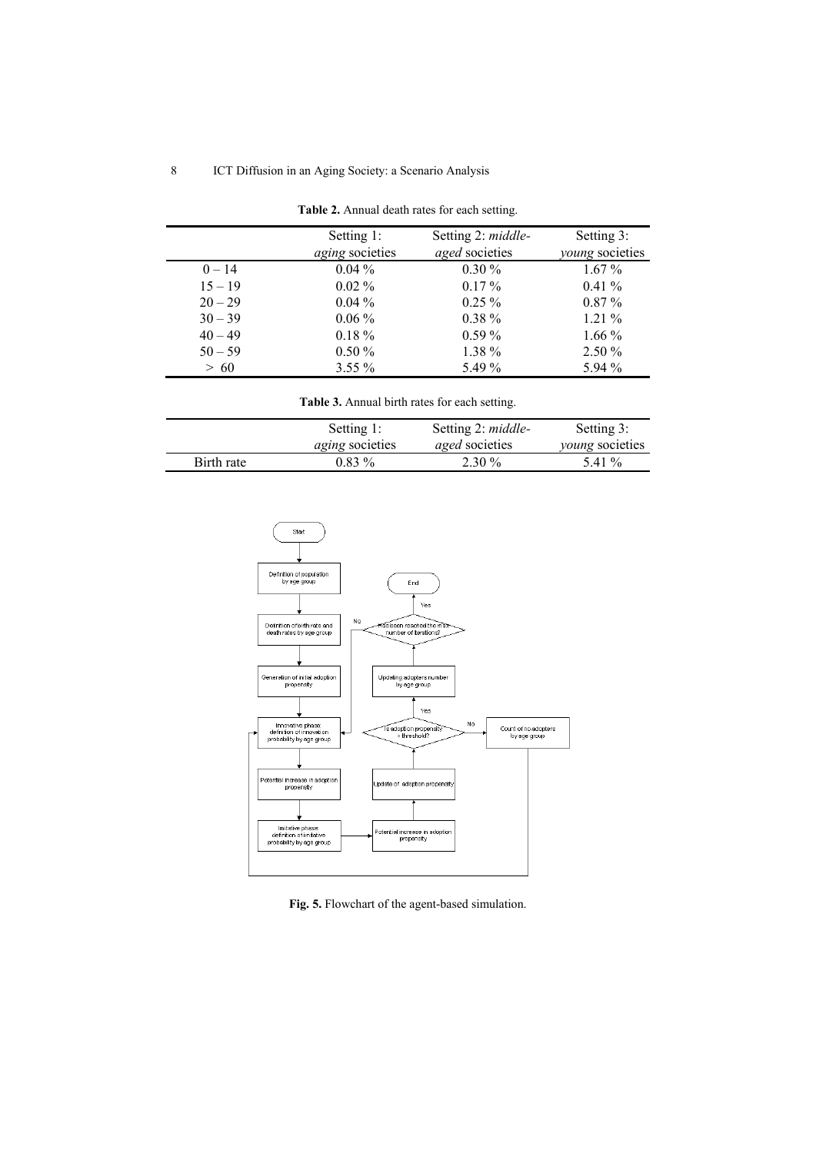|           | Setting 1:             | Setting 2: <i>middle</i> - | Setting 3:      |
|-----------|------------------------|----------------------------|-----------------|
|           | <i>aging</i> societies | <i>aged</i> societies      | young societies |
| $0 - 14$  | $0.04\%$               | $0.30\%$                   | $1.67\%$        |
| $15 - 19$ | $0.02\%$               | $0.17\%$                   | $0.41\%$        |
| $20 - 29$ | $0.04\%$               | $0.25\%$                   | $0.87\%$        |
| $30 - 39$ | $0.06\%$               | $0.38 \%$                  | $1.21\%$        |
| $40 - 49$ | $0.18 \%$              | $0.59\%$                   | $1.66\%$        |
| $50 - 59$ | $0.50 \%$              | 1.38 %                     | $2.50\%$        |
| > 60      | $3.55\%$               | 5.49 %                     | 5.94 $%$        |

**Table 2.** Annual death rates for each setting.

**Table 3.** Annual birth rates for each setting.

|            | Setting $1$ :          | Setting 2: <i>middle</i> - | Setting $3$ :          |
|------------|------------------------|----------------------------|------------------------|
|            | <i>aging</i> societies | <i>aged</i> societies      | <i>young</i> societies |
| Birth rate | $0.83\%$               | $2.30\%$                   | 5.41 %                 |



**Fig. 5.** Flowchart of the agent-based simulation.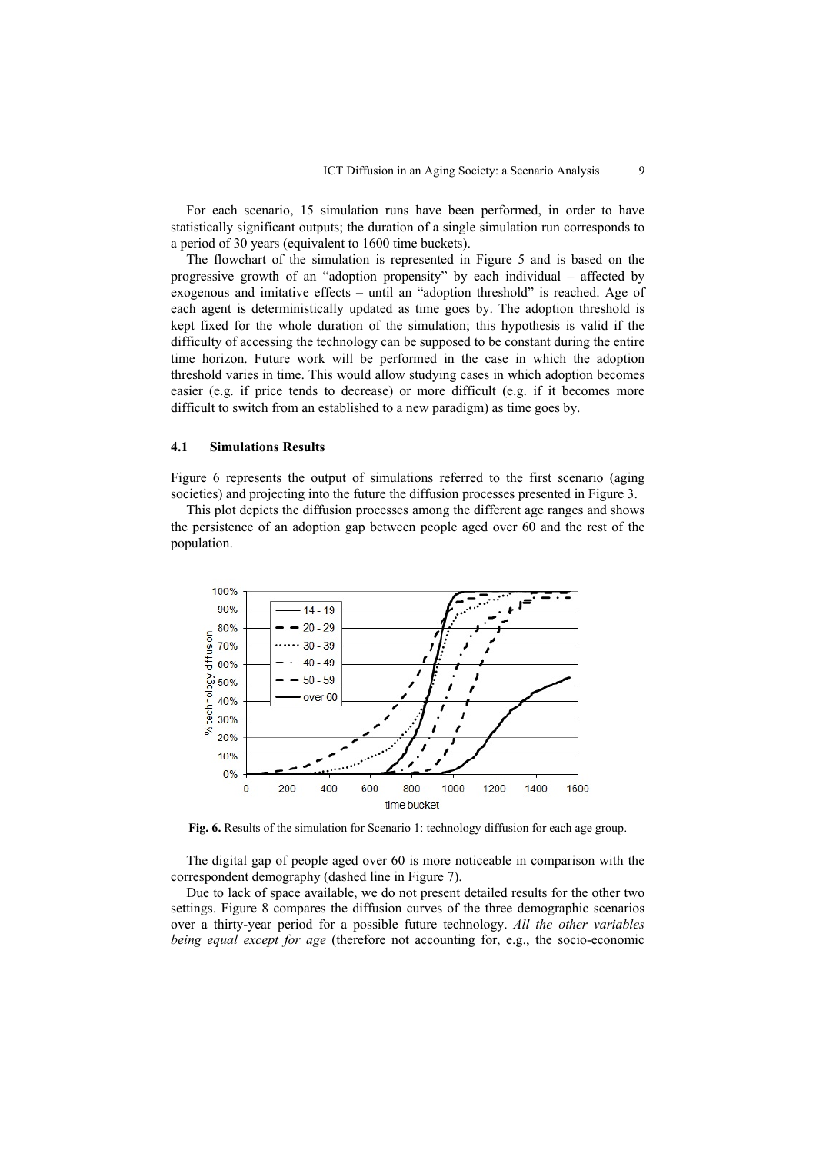For each scenario, 15 simulation runs have been performed, in order to have statistically significant outputs; the duration of a single simulation run corresponds to a period of 30 years (equivalent to 1600 time buckets).

The flowchart of the simulation is represented in Figure 5 and is based on the progressive growth of an "adoption propensity" by each individual – affected by exogenous and imitative effects – until an "adoption threshold" is reached. Age of each agent is deterministically updated as time goes by. The adoption threshold is kept fixed for the whole duration of the simulation; this hypothesis is valid if the difficulty of accessing the technology can be supposed to be constant during the entire time horizon. Future work will be performed in the case in which the adoption threshold varies in time. This would allow studying cases in which adoption becomes easier (e.g. if price tends to decrease) or more difficult (e.g. if it becomes more difficult to switch from an established to a new paradigm) as time goes by.

#### **4.1 Simulations Results**

Figure 6 represents the output of simulations referred to the first scenario (aging societies) and projecting into the future the diffusion processes presented in Figure 3.

This plot depicts the diffusion processes among the different age ranges and shows the persistence of an adoption gap between people aged over 60 and the rest of the population.



**Fig. 6.** Results of the simulation for Scenario 1: technology diffusion for each age group.

The digital gap of people aged over 60 is more noticeable in comparison with the correspondent demography (dashed line in Figure 7).

Due to lack of space available, we do not present detailed results for the other two settings. Figure 8 compares the diffusion curves of the three demographic scenarios over a thirty-year period for a possible future technology. *All the other variables being equal except for age* (therefore not accounting for, e.g., the socio-economic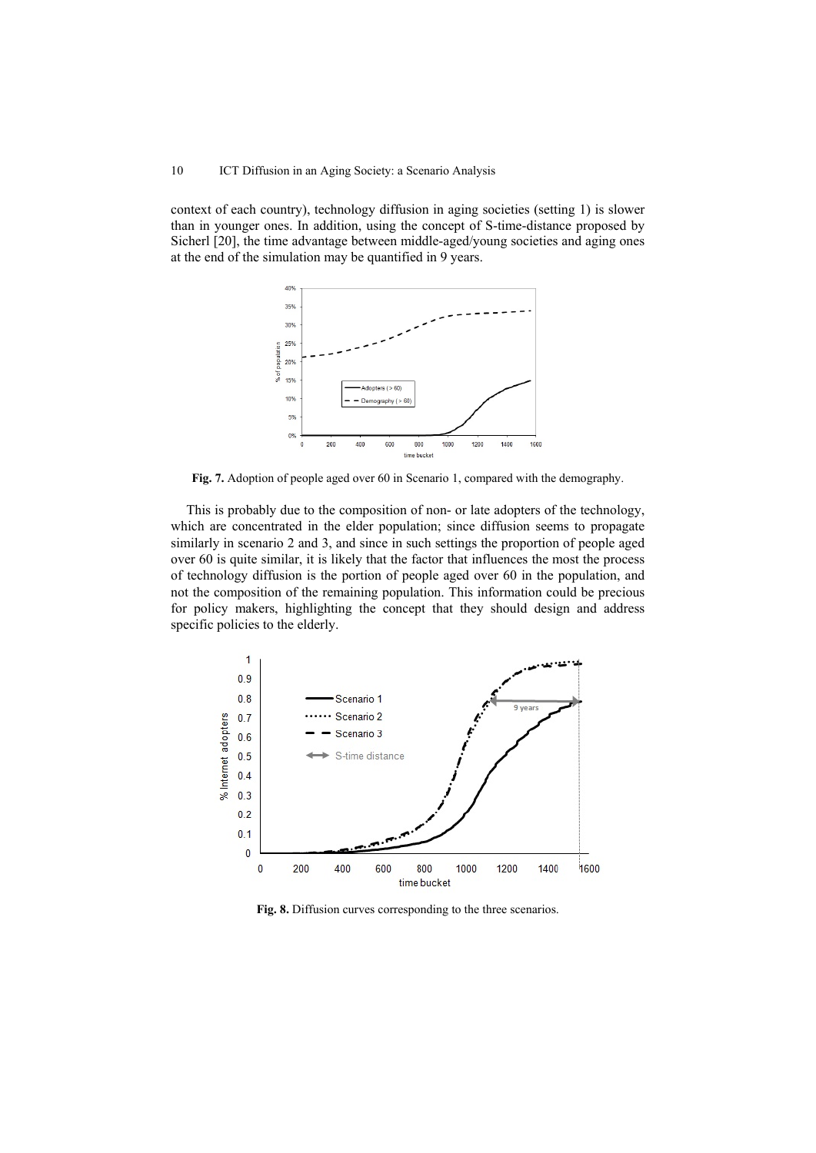#### 10 ICT Diffusion in an Aging Society: a Scenario Analysis

context of each country), technology diffusion in aging societies (setting 1) is slower than in younger ones. In addition, using the concept of S-time-distance proposed by Sicherl [20], the time advantage between middle-aged/young societies and aging ones at the end of the simulation may be quantified in 9 years.



**Fig. 7.** Adoption of people aged over 60 in Scenario 1, compared with the demography.

This is probably due to the composition of non- or late adopters of the technology, which are concentrated in the elder population; since diffusion seems to propagate similarly in scenario 2 and 3, and since in such settings the proportion of people aged over 60 is quite similar, it is likely that the factor that influences the most the process of technology diffusion is the portion of people aged over 60 in the population, and not the composition of the remaining population. This information could be precious for policy makers, highlighting the concept that they should design and address specific policies to the elderly.



**Fig. 8.** Diffusion curves corresponding to the three scenarios.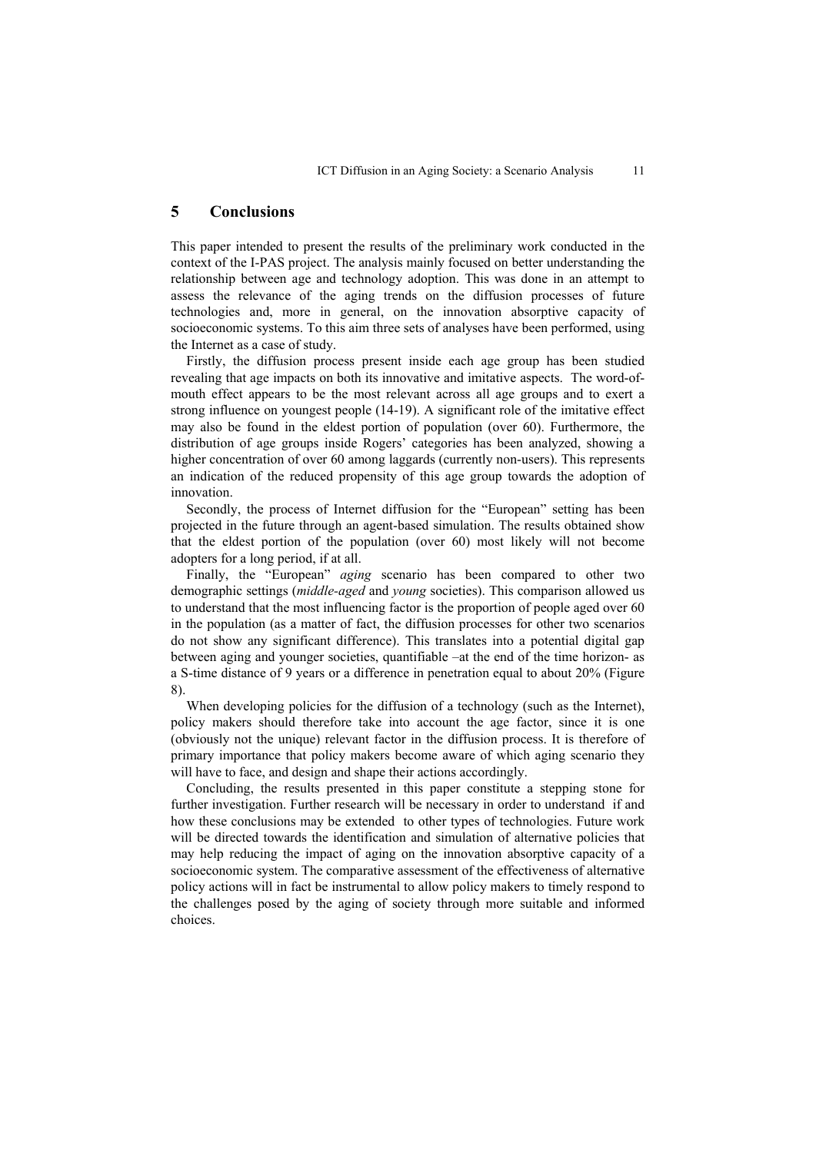## **5 Conclusions**

This paper intended to present the results of the preliminary work conducted in the context of the I-PAS project. The analysis mainly focused on better understanding the relationship between age and technology adoption. This was done in an attempt to assess the relevance of the aging trends on the diffusion processes of future technologies and, more in general, on the innovation absorptive capacity of socioeconomic systems. To this aim three sets of analyses have been performed, using the Internet as a case of study.

Firstly, the diffusion process present inside each age group has been studied revealing that age impacts on both its innovative and imitative aspects. The word-ofmouth effect appears to be the most relevant across all age groups and to exert a strong influence on youngest people (14-19). A significant role of the imitative effect may also be found in the eldest portion of population (over 60). Furthermore, the distribution of age groups inside Rogers' categories has been analyzed, showing a higher concentration of over 60 among laggards (currently non-users). This represents an indication of the reduced propensity of this age group towards the adoption of innovation.

Secondly, the process of Internet diffusion for the "European" setting has been projected in the future through an agent-based simulation. The results obtained show that the eldest portion of the population (over 60) most likely will not become adopters for a long period, if at all.

Finally, the "European" *aging* scenario has been compared to other two demographic settings (*middle-aged* and *young* societies). This comparison allowed us to understand that the most influencing factor is the proportion of people aged over 60 in the population (as a matter of fact, the diffusion processes for other two scenarios do not show any significant difference). This translates into a potential digital gap between aging and younger societies, quantifiable –at the end of the time horizon- as a S-time distance of 9 years or a difference in penetration equal to about 20% (Figure 8).

When developing policies for the diffusion of a technology (such as the Internet), policy makers should therefore take into account the age factor, since it is one (obviously not the unique) relevant factor in the diffusion process. It is therefore of primary importance that policy makers become aware of which aging scenario they will have to face, and design and shape their actions accordingly.

Concluding, the results presented in this paper constitute a stepping stone for further investigation. Further research will be necessary in order to understand if and how these conclusions may be extended to other types of technologies. Future work will be directed towards the identification and simulation of alternative policies that may help reducing the impact of aging on the innovation absorptive capacity of a socioeconomic system. The comparative assessment of the effectiveness of alternative policy actions will in fact be instrumental to allow policy makers to timely respond to the challenges posed by the aging of society through more suitable and informed choices.